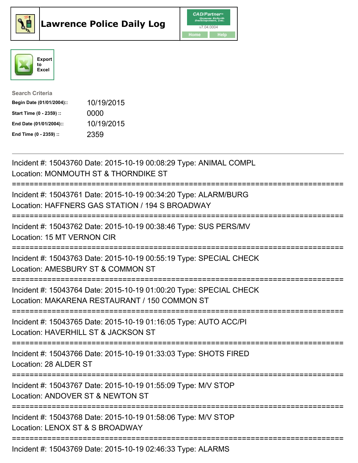





| <b>Search Criteria</b>    |            |
|---------------------------|------------|
| Begin Date (01/01/2004):: | 10/19/2015 |
| Start Time (0 - 2359) ::  | 0000       |
| End Date (01/01/2004)::   | 10/19/2015 |
| End Time (0 - 2359) ::    | 2359       |

| Incident #: 15043760 Date: 2015-10-19 00:08:29 Type: ANIMAL COMPL<br>Location: MONMOUTH ST & THORNDIKE ST                                                    |
|--------------------------------------------------------------------------------------------------------------------------------------------------------------|
| Incident #: 15043761 Date: 2015-10-19 00:34:20 Type: ALARM/BURG<br>Location: HAFFNERS GAS STATION / 194 S BROADWAY<br>------------                           |
| Incident #: 15043762 Date: 2015-10-19 00:38:46 Type: SUS PERS/MV<br>Location: 15 MT VERNON CIR<br>=============                                              |
| Incident #: 15043763 Date: 2015-10-19 00:55:19 Type: SPECIAL CHECK<br>Location: AMESBURY ST & COMMON ST<br>======================                            |
| Incident #: 15043764 Date: 2015-10-19 01:00:20 Type: SPECIAL CHECK<br>Location: MAKARENA RESTAURANT / 150 COMMON ST<br>===================================== |
| Incident #: 15043765 Date: 2015-10-19 01:16:05 Type: AUTO ACC/PI<br>Location: HAVERHILL ST & JACKSON ST<br>---------------------                             |
| Incident #: 15043766 Date: 2015-10-19 01:33:03 Type: SHOTS FIRED<br>Location: 28 ALDER ST                                                                    |
| Incident #: 15043767 Date: 2015-10-19 01:55:09 Type: M/V STOP<br>Location: ANDOVER ST & NEWTON ST                                                            |
| Incident #: 15043768 Date: 2015-10-19 01:58:06 Type: M/V STOP<br>Location: LENOX ST & S BROADWAY                                                             |
| Incident #: 15043769 Date: 2015-10-19 02:46:33 Type: ALARMS                                                                                                  |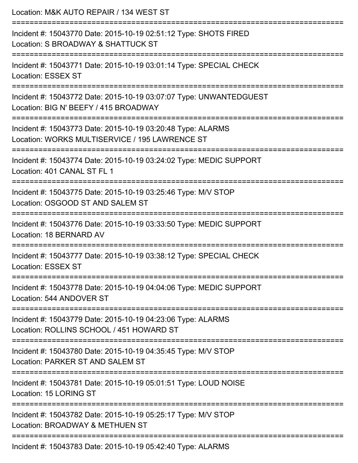| Location: M&K AUTO REPAIR / 134 WEST ST                                                                                            |
|------------------------------------------------------------------------------------------------------------------------------------|
| Incident #: 15043770 Date: 2015-10-19 02:51:12 Type: SHOTS FIRED<br>Location: S BROADWAY & SHATTUCK ST                             |
| Incident #: 15043771 Date: 2015-10-19 03:01:14 Type: SPECIAL CHECK<br><b>Location: ESSEX ST</b>                                    |
| Incident #: 15043772 Date: 2015-10-19 03:07:07 Type: UNWANTEDGUEST<br>Location: BIG N' BEEFY / 415 BROADWAY<br>.================== |
| Incident #: 15043773 Date: 2015-10-19 03:20:48 Type: ALARMS<br>Location: WORKS MULTISERVICE / 195 LAWRENCE ST                      |
| Incident #: 15043774 Date: 2015-10-19 03:24:02 Type: MEDIC SUPPORT<br>Location: 401 CANAL ST FL 1                                  |
| Incident #: 15043775 Date: 2015-10-19 03:25:46 Type: M/V STOP<br>Location: OSGOOD ST AND SALEM ST                                  |
| Incident #: 15043776 Date: 2015-10-19 03:33:50 Type: MEDIC SUPPORT<br>Location: 18 BERNARD AV                                      |
| Incident #: 15043777 Date: 2015-10-19 03:38:12 Type: SPECIAL CHECK<br>Location: ESSEX ST                                           |
| Incident #: 15043778 Date: 2015-10-19 04:04:06 Type: MEDIC SUPPORT<br>Location: 544 ANDOVER ST                                     |
| Incident #: 15043779 Date: 2015-10-19 04:23:06 Type: ALARMS<br>Location: ROLLINS SCHOOL / 451 HOWARD ST                            |
| Incident #: 15043780 Date: 2015-10-19 04:35:45 Type: M/V STOP<br>Location: PARKER ST AND SALEM ST                                  |
| Incident #: 15043781 Date: 2015-10-19 05:01:51 Type: LOUD NOISE<br>Location: 15 LORING ST                                          |
| Incident #: 15043782 Date: 2015-10-19 05:25:17 Type: M/V STOP<br>Location: BROADWAY & METHUEN ST                                   |
| Incident #: 15043783 Date: 2015-10-19 05:42:40 Type: ALARMS                                                                        |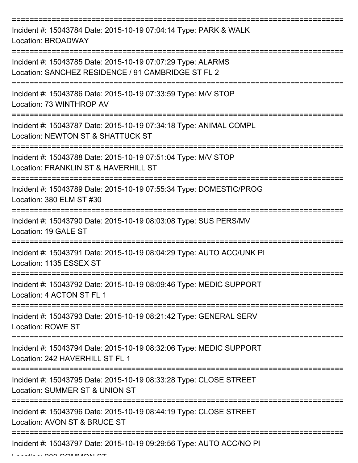| Incident #: 15043784 Date: 2015-10-19 07:04:14 Type: PARK & WALK<br>Location: BROADWAY                                      |
|-----------------------------------------------------------------------------------------------------------------------------|
| Incident #: 15043785 Date: 2015-10-19 07:07:29 Type: ALARMS<br>Location: SANCHEZ RESIDENCE / 91 CAMBRIDGE ST FL 2           |
| Incident #: 15043786 Date: 2015-10-19 07:33:59 Type: M/V STOP<br>Location: 73 WINTHROP AV                                   |
| Incident #: 15043787 Date: 2015-10-19 07:34:18 Type: ANIMAL COMPL<br>Location: NEWTON ST & SHATTUCK ST                      |
| Incident #: 15043788 Date: 2015-10-19 07:51:04 Type: M/V STOP<br>Location: FRANKLIN ST & HAVERHILL ST<br>================== |
| Incident #: 15043789 Date: 2015-10-19 07:55:34 Type: DOMESTIC/PROG<br>Location: 380 ELM ST #30                              |
| Incident #: 15043790 Date: 2015-10-19 08:03:08 Type: SUS PERS/MV<br>Location: 19 GALE ST                                    |
| Incident #: 15043791 Date: 2015-10-19 08:04:29 Type: AUTO ACC/UNK PI<br>Location: 1135 ESSEX ST                             |
| Incident #: 15043792 Date: 2015-10-19 08:09:46 Type: MEDIC SUPPORT<br>Location: 4 ACTON ST FL 1                             |
| Incident #: 15043793 Date: 2015-10-19 08:21:42 Type: GENERAL SERV<br><b>Location: ROWE ST</b>                               |
| Incident #: 15043794 Date: 2015-10-19 08:32:06 Type: MEDIC SUPPORT<br>Location: 242 HAVERHILL ST FL 1                       |
| Incident #: 15043795 Date: 2015-10-19 08:33:28 Type: CLOSE STREET<br>Location: SUMMER ST & UNION ST                         |
| Incident #: 15043796 Date: 2015-10-19 08:44:19 Type: CLOSE STREET<br>Location: AVON ST & BRUCE ST                           |
| Incident #: 15043797 Date: 2015-10-19 09:29:56 Type: AUTO ACC/NO PI                                                         |

 $L = L$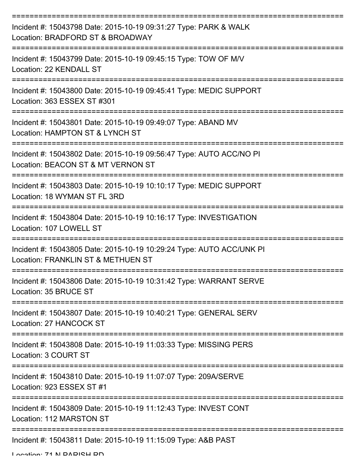| Incident #: 15043798 Date: 2015-10-19 09:31:27 Type: PARK & WALK<br>Location: BRADFORD ST & BROADWAY       |
|------------------------------------------------------------------------------------------------------------|
| Incident #: 15043799 Date: 2015-10-19 09:45:15 Type: TOW OF M/V<br>Location: 22 KENDALL ST                 |
| Incident #: 15043800 Date: 2015-10-19 09:45:41 Type: MEDIC SUPPORT<br>Location: 363 ESSEX ST #301          |
| Incident #: 15043801 Date: 2015-10-19 09:49:07 Type: ABAND MV<br>Location: HAMPTON ST & LYNCH ST           |
| Incident #: 15043802 Date: 2015-10-19 09:56:47 Type: AUTO ACC/NO PI<br>Location: BEACON ST & MT VERNON ST  |
| Incident #: 15043803 Date: 2015-10-19 10:10:17 Type: MEDIC SUPPORT<br>Location: 18 WYMAN ST FL 3RD         |
| Incident #: 15043804 Date: 2015-10-19 10:16:17 Type: INVESTIGATION<br>Location: 107 LOWELL ST              |
| Incident #: 15043805 Date: 2015-10-19 10:29:24 Type: AUTO ACC/UNK PI<br>Location: FRANKLIN ST & METHUEN ST |
| Incident #: 15043806 Date: 2015-10-19 10:31:42 Type: WARRANT SERVE<br>Location: 35 BRUCE ST                |
| Incident #: 15043807 Date: 2015-10-19 10:40:21 Type: GENERAL SERV<br>Location: 27 HANCOCK ST               |
| Incident #: 15043808 Date: 2015-10-19 11:03:33 Type: MISSING PERS<br>Location: 3 COURT ST                  |
| Incident #: 15043810 Date: 2015-10-19 11:07:07 Type: 209A/SERVE<br>Location: 923 ESSEX ST #1               |
| Incident #: 15043809 Date: 2015-10-19 11:12:43 Type: INVEST CONT<br>Location: 112 MARSTON ST               |
| Incident #: 15043811 Date: 2015-10-19 11:15:09 Type: A&B PAST                                              |

Location: 71 N DADICH DD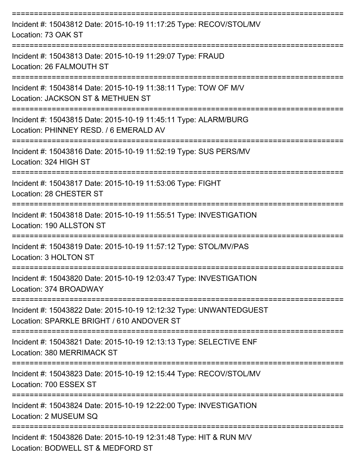| Incident #: 15043812 Date: 2015-10-19 11:17:25 Type: RECOV/STOL/MV<br>Location: 73 OAK ST                       |
|-----------------------------------------------------------------------------------------------------------------|
| Incident #: 15043813 Date: 2015-10-19 11:29:07 Type: FRAUD<br>Location: 26 FALMOUTH ST                          |
| Incident #: 15043814 Date: 2015-10-19 11:38:11 Type: TOW OF M/V<br>Location: JACKSON ST & METHUEN ST            |
| Incident #: 15043815 Date: 2015-10-19 11:45:11 Type: ALARM/BURG<br>Location: PHINNEY RESD, / 6 EMERALD AV       |
| Incident #: 15043816 Date: 2015-10-19 11:52:19 Type: SUS PERS/MV<br>Location: 324 HIGH ST                       |
| Incident #: 15043817 Date: 2015-10-19 11:53:06 Type: FIGHT<br>Location: 28 CHESTER ST                           |
| Incident #: 15043818 Date: 2015-10-19 11:55:51 Type: INVESTIGATION<br>Location: 190 ALLSTON ST                  |
| Incident #: 15043819 Date: 2015-10-19 11:57:12 Type: STOL/MV/PAS<br>Location: 3 HOLTON ST                       |
| Incident #: 15043820 Date: 2015-10-19 12:03:47 Type: INVESTIGATION<br>Location: 374 BROADWAY                    |
| Incident #: 15043822 Date: 2015-10-19 12:12:32 Type: UNWANTEDGUEST<br>Location: SPARKLE BRIGHT / 610 ANDOVER ST |
| Incident #: 15043821 Date: 2015-10-19 12:13:13 Type: SELECTIVE ENF<br>Location: 380 MERRIMACK ST                |
| Incident #: 15043823 Date: 2015-10-19 12:15:44 Type: RECOV/STOL/MV<br>Location: 700 ESSEX ST                    |
| Incident #: 15043824 Date: 2015-10-19 12:22:00 Type: INVESTIGATION<br>Location: 2 MUSEUM SQ                     |
| Incident #: 15043826 Date: 2015-10-19 12:31:48 Type: HIT & RUN M/V<br>Location: BODWELL ST & MEDFORD ST         |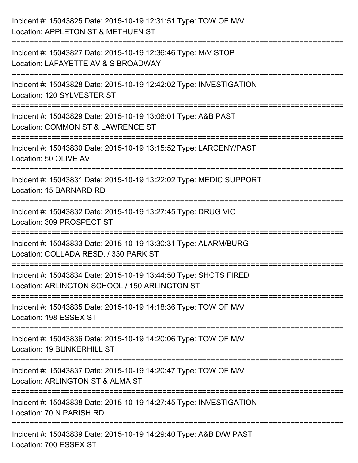| Incident #: 15043825 Date: 2015-10-19 12:31:51 Type: TOW OF M/V<br>Location: APPLETON ST & METHUEN ST                                                                  |
|------------------------------------------------------------------------------------------------------------------------------------------------------------------------|
| ======================<br>Incident #: 15043827 Date: 2015-10-19 12:36:46 Type: M/V STOP<br>Location: LAFAYETTE AV & S BROADWAY                                         |
| Incident #: 15043828 Date: 2015-10-19 12:42:02 Type: INVESTIGATION<br>Location: 120 SYLVESTER ST<br>:============================                                      |
| Incident #: 15043829 Date: 2015-10-19 13:06:01 Type: A&B PAST<br>Location: COMMON ST & LAWRENCE ST                                                                     |
| Incident #: 15043830 Date: 2015-10-19 13:15:52 Type: LARCENY/PAST<br>Location: 50 OLIVE AV                                                                             |
| Incident #: 15043831 Date: 2015-10-19 13:22:02 Type: MEDIC SUPPORT<br>Location: 15 BARNARD RD                                                                          |
| Incident #: 15043832 Date: 2015-10-19 13:27:45 Type: DRUG VIO<br>Location: 309 PROSPECT ST<br>--------------------------------                                         |
| Incident #: 15043833 Date: 2015-10-19 13:30:31 Type: ALARM/BURG<br>Location: COLLADA RESD. / 330 PARK ST                                                               |
| Incident #: 15043834 Date: 2015-10-19 13:44:50 Type: SHOTS FIRED<br>Location: ARLINGTON SCHOOL / 150 ARLINGTON ST                                                      |
| Incident #: 15043835 Date: 2015-10-19 14:18:36 Type: TOW OF M/V<br>Location: 198 ESSEX ST                                                                              |
| ======================================<br>---------------------------<br>Incident #: 15043836 Date: 2015-10-19 14:20:06 Type: TOW OF M/V<br>Location: 19 BUNKERHILL ST |
| Incident #: 15043837 Date: 2015-10-19 14:20:47 Type: TOW OF M/V<br>Location: ARLINGTON ST & ALMA ST                                                                    |
| Incident #: 15043838 Date: 2015-10-19 14:27:45 Type: INVESTIGATION<br>Location: 70 N PARISH RD                                                                         |
| Incident #: 15043839 Date: 2015-10-19 14:29:40 Type: A&B D/W PAST<br>Location: 700 ESSEX ST                                                                            |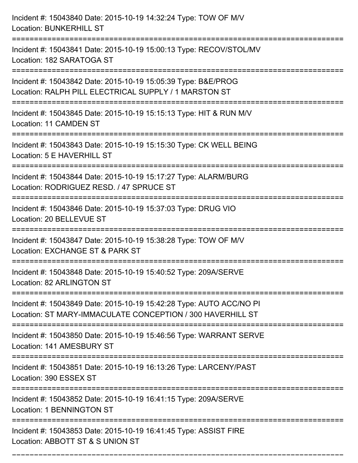| Incident #: 15043840 Date: 2015-10-19 14:32:24 Type: TOW OF M/V<br><b>Location: BUNKERHILL ST</b>                                 |
|-----------------------------------------------------------------------------------------------------------------------------------|
| Incident #: 15043841 Date: 2015-10-19 15:00:13 Type: RECOV/STOL/MV<br>Location: 182 SARATOGA ST                                   |
| Incident #: 15043842 Date: 2015-10-19 15:05:39 Type: B&E/PROG<br>Location: RALPH PILL ELECTRICAL SUPPLY / 1 MARSTON ST            |
| Incident #: 15043845 Date: 2015-10-19 15:15:13 Type: HIT & RUN M/V<br>Location: 11 CAMDEN ST                                      |
| Incident #: 15043843 Date: 2015-10-19 15:15:30 Type: CK WELL BEING<br>Location: 5 E HAVERHILL ST                                  |
| Incident #: 15043844 Date: 2015-10-19 15:17:27 Type: ALARM/BURG<br>Location: RODRIGUEZ RESD. / 47 SPRUCE ST                       |
| Incident #: 15043846 Date: 2015-10-19 15:37:03 Type: DRUG VIO<br>Location: 20 BELLEVUE ST                                         |
| Incident #: 15043847 Date: 2015-10-19 15:38:28 Type: TOW OF M/V<br>Location: EXCHANGE ST & PARK ST                                |
| Incident #: 15043848 Date: 2015-10-19 15:40:52 Type: 209A/SERVE<br>Location: 82 ARLINGTON ST                                      |
| Incident #: 15043849 Date: 2015-10-19 15:42:28 Type: AUTO ACC/NO PI<br>Location: ST MARY-IMMACULATE CONCEPTION / 300 HAVERHILL ST |
| Incident #: 15043850 Date: 2015-10-19 15:46:56 Type: WARRANT SERVE<br>Location: 141 AMESBURY ST                                   |
| Incident #: 15043851 Date: 2015-10-19 16:13:26 Type: LARCENY/PAST<br>Location: 390 ESSEX ST<br>==============================     |
| Incident #: 15043852 Date: 2015-10-19 16:41:15 Type: 209A/SERVE<br><b>Location: 1 BENNINGTON ST</b>                               |
| Incident #: 15043853 Date: 2015-10-19 16:41:45 Type: ASSIST FIRE<br>Location: ABBOTT ST & S UNION ST                              |

===========================================================================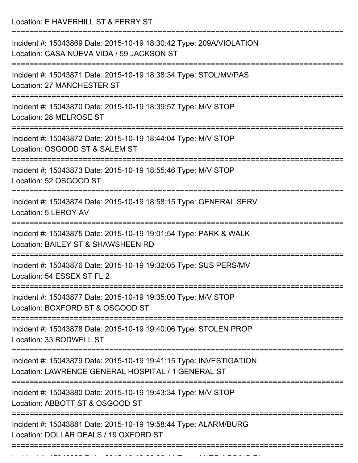Location: E HAVERHILL ST & FERRY ST

| Incident #: 15043869 Date: 2015-10-19 18:30:42 Type: 209A/VIOLATION<br>Location: CASA NUEVA VIDA / 59 JACKSON ST<br>:=========================          |
|---------------------------------------------------------------------------------------------------------------------------------------------------------|
| Incident #: 15043871 Date: 2015-10-19 18:38:34 Type: STOL/MV/PAS<br>Location: 27 MANCHESTER ST                                                          |
| Incident #: 15043870 Date: 2015-10-19 18:39:57 Type: M/V STOP<br>Location: 28 MELROSE ST                                                                |
| Incident #: 15043872 Date: 2015-10-19 18:44:04 Type: M/V STOP<br>Location: OSGOOD ST & SALEM ST                                                         |
| Incident #: 15043873 Date: 2015-10-19 18:55:46 Type: M/V STOP<br>Location: 52 OSGOOD ST                                                                 |
| Incident #: 15043874 Date: 2015-10-19 18:58:15 Type: GENERAL SERV<br>Location: 5 LEROY AV                                                               |
| Incident #: 15043875 Date: 2015-10-19 19:01:54 Type: PARK & WALK<br>Location: BAILEY ST & SHAWSHEEN RD                                                  |
| Incident #: 15043876 Date: 2015-10-19 19:32:05 Type: SUS PERS/MV<br>Location: 54 ESSEX ST FL 2                                                          |
| ==================================<br>Incident #: 15043877 Date: 2015-10-19 19:35:00 Type: M/V STOP<br>Location: BOXFORD ST & OSGOOD ST                 |
| Incident #: 15043878 Date: 2015-10-19 19:40:06 Type: STOLEN PROP<br>Location: 33 BODWELL ST                                                             |
| Incident #: 15043879 Date: 2015-10-19 19:41:15 Type: INVESTIGATION<br>Location: LAWRENCE GENERAL HOSPITAL / 1 GENERAL ST<br>=========================== |
| Incident #: 15043880 Date: 2015-10-19 19:43:34 Type: M/V STOP<br>Location: ABBOTT ST & OSGOOD ST                                                        |
| Incident #: 15043881 Date: 2015-10-19 19:58:44 Type: ALARM/BURG<br>Location: DOLLAR DEALS / 19 OXFORD ST                                                |
|                                                                                                                                                         |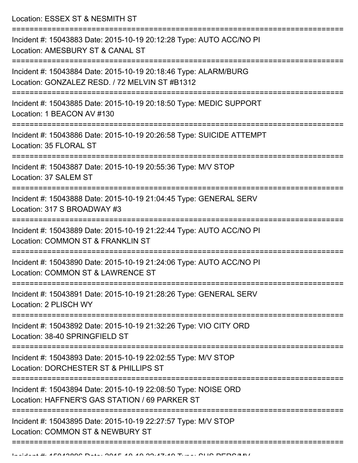Location: ESSEX ST & NESMITH ST

| Incident #: 15043883 Date: 2015-10-19 20:12:28 Type: AUTO ACC/NO PI<br>Location: AMESBURY ST & CANAL ST                                  |
|------------------------------------------------------------------------------------------------------------------------------------------|
| Incident #: 15043884 Date: 2015-10-19 20:18:46 Type: ALARM/BURG<br>Location: GONZALEZ RESD. / 72 MELVIN ST #B1312<br>------------------- |
| Incident #: 15043885 Date: 2015-10-19 20:18:50 Type: MEDIC SUPPORT<br>Location: 1 BEACON AV #130                                         |
| Incident #: 15043886 Date: 2015-10-19 20:26:58 Type: SUICIDE ATTEMPT<br>Location: 35 FLORAL ST                                           |
| Incident #: 15043887 Date: 2015-10-19 20:55:36 Type: M/V STOP<br>Location: 37 SALEM ST                                                   |
| Incident #: 15043888 Date: 2015-10-19 21:04:45 Type: GENERAL SERV<br>Location: 317 S BROADWAY #3                                         |
| Incident #: 15043889 Date: 2015-10-19 21:22:44 Type: AUTO ACC/NO PI<br>Location: COMMON ST & FRANKLIN ST                                 |
| Incident #: 15043890 Date: 2015-10-19 21:24:06 Type: AUTO ACC/NO PI<br>Location: COMMON ST & LAWRENCE ST                                 |
| Incident #: 15043891 Date: 2015-10-19 21:28:26 Type: GENERAL SERV<br>Location: 2 PLISCH WY                                               |
| Incident #: 15043892 Date: 2015-10-19 21:32:26 Type: VIO CITY ORD<br>Location: 38-40 SPRINGFIELD ST                                      |
| Incident #: 15043893 Date: 2015-10-19 22:02:55 Type: M/V STOP<br>Location: DORCHESTER ST & PHILLIPS ST                                   |
| Incident #: 15043894 Date: 2015-10-19 22:08:50 Type: NOISE ORD<br>Location: HAFFNER'S GAS STATION / 69 PARKER ST                         |
| Incident #: 15043895 Date: 2015-10-19 22:27:57 Type: M/V STOP<br>Location: COMMON ST & NEWBURY ST                                        |
|                                                                                                                                          |